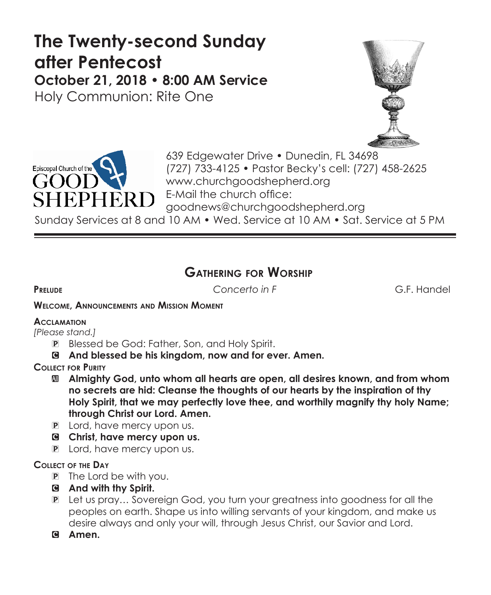# **The Twenty-second Sunday after Pentecost October 21, 2018 • 8:00 AM Service**

Holy Communion: Rite One





639 Edgewater Drive • Dunedin, FL 34698 (727) 733-4125 • Pastor Becky's cell: (727) 458-2625 www.churchgoodshepherd.org E-Mail the church office: goodnews@churchgoodshepherd.org

Sunday Services at 8 and 10 AM • Wed. Service at 10 AM • Sat. Service at 5 PM

# **Gathering for Worship**

**Prelude** *Concerto in F* G.F. Handel

#### **Welcome, Announcements and Mission Moment**

# **Acclamation**

*[Please stand.]* 

- P Blessed be God: Father, Son, and Holy Spirit.
- C **And blessed be his kingdom, now and for ever. Amen.**
- **Collect for Purity**
	- a **Almighty God, unto whom all hearts are open, all desires known, and from whom no secrets are hid: Cleanse the thoughts of our hearts by the inspiration of thy Holy Spirit, that we may perfectly love thee, and worthily magnify thy holy Name; through Christ our Lord. Amen.**
	- P Lord, have mercy upon us.
	- C **Christ, have mercy upon us.**
	- P Lord, have mercy upon us.

# **Collect of the Day**

- P The Lord be with you.
- C **And with thy Spirit.**
- P Let us pray… Sovereign God, you turn your greatness into goodness for all the peoples on earth. Shape us into willing servants of your kingdom, and make us desire always and only your will, through Jesus Christ, our Savior and Lord.
- C **Amen.**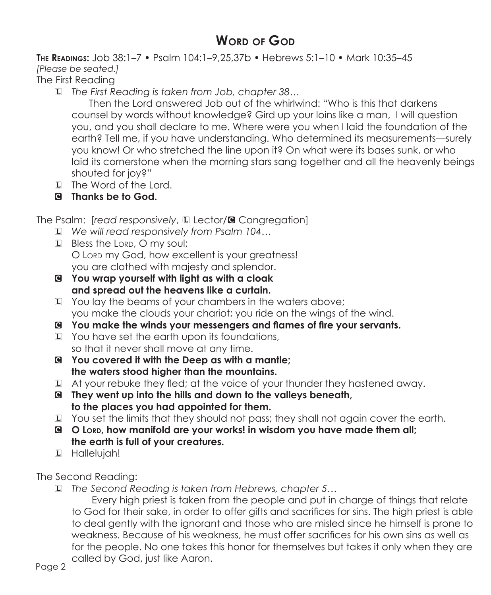# **WORD OF GOD**

**The Readings:** Job 38:1–7 • Psalm 104:1–9,25,37b • Hebrews 5:1–10 • Mark 10:35–45 *[Please be seated.]*

The First Reading

L *The First Reading is taken from Job, chapter 38…*

Then the Lord answered Job out of the whirlwind: "Who is this that darkens counsel by words without knowledge? Gird up your loins like a man, I will question you, and you shall declare to me. Where were you when I laid the foundation of the earth? Tell me, if you have understanding. Who determined its measurements—surely you know! Or who stretched the line upon it? On what were its bases sunk, or who laid its cornerstone when the morning stars sang together and all the heavenly beings shouted for joy?"

- L The Word of the Lord.
- C **Thanks be to God.**

The Psalm: [read responsively, La Lector/<sup>8</sup> Congregation]

- L *We will read responsively from Psalm 104…*
- L Bless the Lord, O my soul; O Lord my God, how excellent is your greatness! you are clothed with majesty and splendor.
- C **You wrap yourself with light as with a cloak and spread out the heavens like a curtain.**
- L You lay the beams of your chambers in the waters above; you make the clouds your chariot; you ride on the wings of the wind.
- C **You make the winds your messengers and flames of fire your servants.**
- L You have set the earth upon its foundations, so that it never shall move at any time.
- C **You covered it with the Deep as with a mantle; the waters stood higher than the mountains.**
- L At your rebuke they fled; at the voice of your thunder they hastened away.
- C **They went up into the hills and down to the valleys beneath, to the places you had appointed for them.**
- L You set the limits that they should not pass; they shall not again cover the earth.
- C **O Lord, how manifold are your works! in wisdom you have made them all; the earth is full of your creatures.**
- L Hallelujah!

The Second Reading:

L *The Second Reading is taken from Hebrews, chapter 5…*

 Every high priest is taken from the people and put in charge of things that relate to God for their sake, in order to offer gifts and sacrifices for sins. The high priest is able to deal gently with the ignorant and those who are misled since he himself is prone to weakness. Because of his weakness, he must offer sacrifices for his own sins as well as for the people. No one takes this honor for themselves but takes it only when they are called by God, just like Aaron.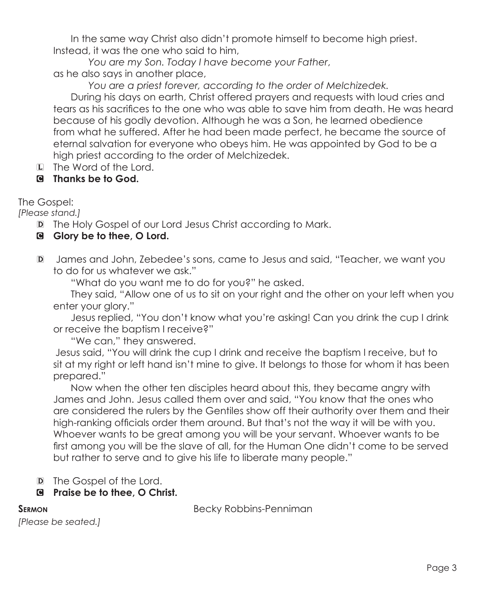In the same way Christ also didn't promote himself to become high priest. Instead, it was the one who said to him,

 *You are my Son. Today I have become your Father*, as he also says in another place,

*You are a priest forever, according to the order of Melchizedek.*

 During his days on earth, Christ offered prayers and requests with loud cries and tears as his sacrifices to the one who was able to save him from death. He was heard because of his godly devotion. Although he was a Son, he learned obedience from what he suffered. After he had been made perfect, he became the source of eternal salvation for everyone who obeys him. He was appointed by God to be a high priest according to the order of Melchizedek.

L The Word of the Lord.

# C **Thanks be to God.**

The Gospel:

*[Please stand.]*

- D The Holy Gospel of our Lord Jesus Christ according to Mark.
- C **Glory be to thee, O Lord.**
- D James and John, Zebedee's sons, came to Jesus and said, "Teacher, we want you to do for us whatever we ask."

"What do you want me to do for you?" he asked.

 They said, "Allow one of us to sit on your right and the other on your left when you enter your glory."

Jesus replied, "You don't know what you're asking! Can you drink the cup I drink or receive the baptism I receive?"

"We can," they answered.

 Jesus said, "You will drink the cup I drink and receive the baptism I receive, but to sit at my right or left hand isn't mine to give. It belongs to those for whom it has been prepared."

 Now when the other ten disciples heard about this, they became angry with James and John. Jesus called them over and said, "You know that the ones who are considered the rulers by the Gentiles show off their authority over them and their high-ranking officials order them around. But that's not the way it will be with you. Whoever wants to be great among you will be your servant. Whoever wants to be first among you will be the slave of all, for the Human One didn't come to be served but rather to serve and to give his life to liberate many people."

D The Gospel of the Lord.

# C **Praise be to thee, O Christ.**

**Sermon** Becky Robbins-Penniman

*[Please be seated.]*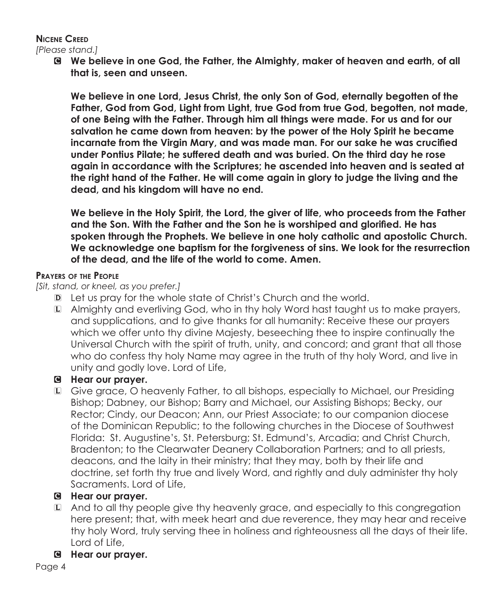# **Nicene Creed**

*[Please stand.]*

C **We believe in one God, the Father, the Almighty, maker of heaven and earth, of all that is, seen and unseen.** 

**We believe in one Lord, Jesus Christ, the only Son of God, eternally begotten of the Father, God from God, Light from Light, true God from true God, begotten, not made, of one Being with the Father. Through him all things were made. For us and for our salvation he came down from heaven: by the power of the Holy Spirit he became incarnate from the Virgin Mary, and was made man. For our sake he was crucified under Pontius Pilate; he suffered death and was buried. On the third day he rose again in accordance with the Scriptures; he ascended into heaven and is seated at the right hand of the Father. He will come again in glory to judge the living and the dead, and his kingdom will have no end.**

**We believe in the Holy Spirit, the Lord, the giver of life, who proceeds from the Father and the Son. With the Father and the Son he is worshiped and glorified. He has spoken through the Prophets. We believe in one holy catholic and apostolic Church. We acknowledge one baptism for the forgiveness of sins. We look for the resurrection of the dead, and the life of the world to come. Amen.**

#### **Prayers of the People**

*[Sit, stand, or kneel, as you prefer.]*

- D Let us pray for the whole state of Christ's Church and the world.
- L Almighty and everliving God, who in thy holy Word hast taught us to make prayers, and supplications, and to give thanks for all humanity: Receive these our prayers which we offer unto thy divine Majesty, beseeching thee to inspire continually the Universal Church with the spirit of truth, unity, and concord; and grant that all those who do confess thy holy Name may agree in the truth of thy holy Word, and live in unity and godly love. Lord of Life,

# C **Hear our prayer.**

L Give grace, O heavenly Father, to all bishops, especially to Michael, our Presiding Bishop; Dabney, our Bishop; Barry and Michael, our Assisting Bishops; Becky, our Rector; Cindy, our Deacon; Ann, our Priest Associate; to our companion diocese of the Dominican Republic; to the following churches in the Diocese of Southwest Florida: St. Augustine's, St. Petersburg; St. Edmund's, Arcadia; and Christ Church, Bradenton; to the Clearwater Deanery Collaboration Partners; and to all priests, deacons, and the laity in their ministry; that they may, both by their life and doctrine, set forth thy true and lively Word, and rightly and duly administer thy holy Sacraments. Lord of Life,

# C **Hear our prayer.**

L And to all thy people give thy heavenly grace, and especially to this congregation here present; that, with meek heart and due reverence, they may hear and receive thy holy Word, truly serving thee in holiness and righteousness all the days of their life. Lord of Life,

# C **Hear our prayer.**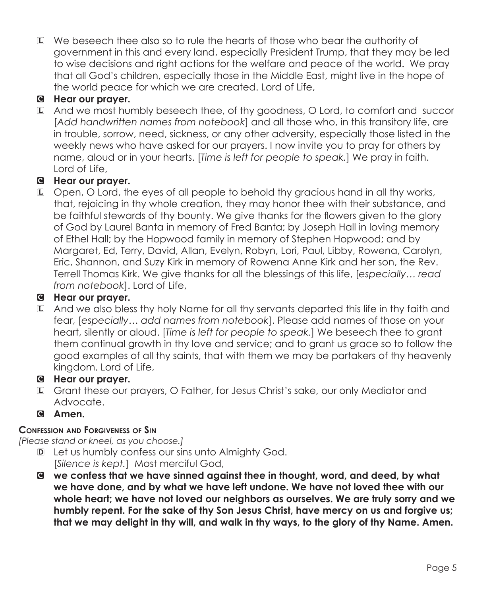L We beseech thee also so to rule the hearts of those who bear the authority of government in this and every land, especially President Trump, that they may be led to wise decisions and right actions for the welfare and peace of the world. We pray that all God's children, especially those in the Middle East, might live in the hope of the world peace for which we are created. Lord of Life,

# C **Hear our prayer.**

L And we most humbly beseech thee, of thy goodness, O Lord, to comfort and succor [*Add handwritten names from notebook*] and all those who, in this transitory life, are in trouble, sorrow, need, sickness, or any other adversity, especially those listed in the weekly news who have asked for our prayers. I now invite you to pray for others by name, aloud or in your hearts. [*Time is left for people to speak.*] We pray in faith. Lord of Life,

# C **Hear our prayer.**

L Open, O Lord, the eyes of all people to behold thy gracious hand in all thy works, that, rejoicing in thy whole creation, they may honor thee with their substance, and be faithful stewards of thy bounty. We give thanks for the flowers given to the glory of God by Laurel Banta in memory of Fred Banta; by Joseph Hall in loving memory of Ethel Hall; by the Hopwood family in memory of Stephen Hopwood; and by Margaret, Ed, Terry, David, Allan, Evelyn, Robyn, Lori, Paul, Libby, Rowena, Carolyn, Eric, Shannon, and Suzy Kirk in memory of Rowena Anne Kirk and her son, the Rev. Terrell Thomas Kirk. We give thanks for all the blessings of this life, [*especially… read from notebook*]. Lord of Life,

# C **Hear our prayer.**

L And we also bless thy holy Name for all thy servants departed this life in thy faith and fear, [*especially… add names from notebook*]. Please add names of those on your heart, silently or aloud. [*Time is left for people to speak.*] We beseech thee to grant them continual growth in thy love and service; and to grant us grace so to follow the good examples of all thy saints, that with them we may be partakers of thy heavenly kingdom. Lord of Life,

# C **Hear our prayer.**

- L Grant these our prayers, O Father, for Jesus Christ's sake, our only Mediator and Advocate.
- C **Amen.**

# **Confession and Forgiveness of Sin**

*[Please stand or kneel, as you choose.]*

- D Let us humbly confess our sins unto Almighty God. [*Silence is kept.*] Most merciful God,
- C **we confess that we have sinned against thee in thought, word, and deed, by what we have done, and by what we have left undone. We have not loved thee with our whole heart; we have not loved our neighbors as ourselves. We are truly sorry and we humbly repent. For the sake of thy Son Jesus Christ, have mercy on us and forgive us; that we may delight in thy will, and walk in thy ways, to the glory of thy Name. Amen.**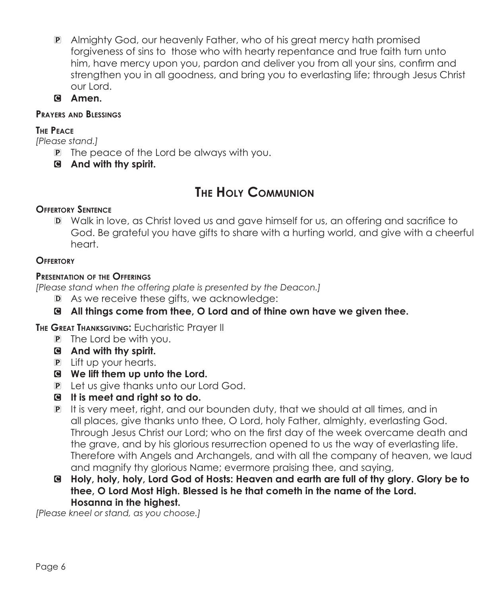- P Almighty God, our heavenly Father, who of his great mercy hath promised forgiveness of sins to those who with hearty repentance and true faith turn unto him, have mercy upon you, pardon and deliver you from all your sins, confirm and strengthen you in all goodness, and bring you to everlasting life; through Jesus Christ our Lord.
- C **Amen.**

#### **Prayers and Blessings**

#### **The Peace**

*[Please stand.]*

- P The peace of the Lord be always with you.
- C **And with thy spirit.**

# **The Holy Communion**

# **Offertory Sentence**

D Walk in love, as Christ loved us and gave himself for us, an offering and sacrifice to God. Be grateful you have gifts to share with a hurting world, and give with a cheerful heart.

#### **Offertory**

#### **Presentation of the Offerings**

*[Please stand when the offering plate is presented by the Deacon.]*

- D As we receive these gifts, we acknowledge:
- C **All things come from thee, O Lord and of thine own have we given thee.**

**The Great Thanksgiving:** Eucharistic Prayer II

- P The Lord be with you.
- C **And with thy spirit.**
- P Lift up your hearts.
- C **We lift them up unto the Lord.**
- P Let us give thanks unto our Lord God.
- C **It is meet and right so to do.**
- P It is very meet, right, and our bounden duty, that we should at all times, and in all places, give thanks unto thee, O Lord, holy Father, almighty, everlasting God. Through Jesus Christ our Lord; who on the first day of the week overcame death and the grave, and by his glorious resurrection opened to us the way of everlasting life. Therefore with Angels and Archangels, and with all the company of heaven, we laud and magnify thy glorious Name; evermore praising thee, and saying,
- C **Holy, holy, holy, Lord God of Hosts: Heaven and earth are full of thy glory. Glory be to thee, O Lord Most High. Blessed is he that cometh in the name of the Lord. Hosanna in the highest.**

*[Please kneel or stand, as you choose.]*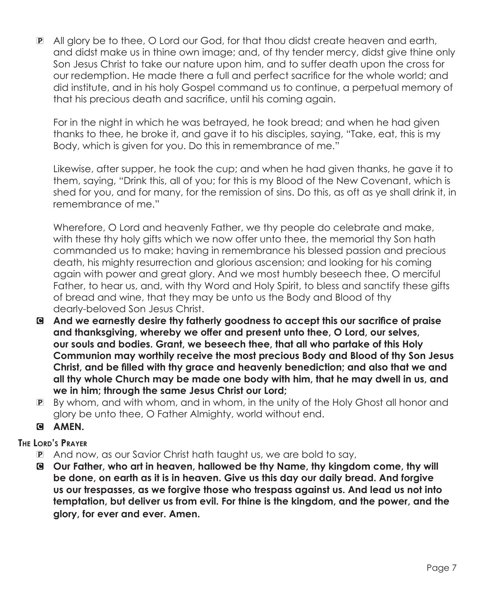P All glory be to thee, O Lord our God, for that thou didst create heaven and earth, and didst make us in thine own image; and, of thy tender mercy, didst give thine only Son Jesus Christ to take our nature upon him, and to suffer death upon the cross for our redemption. He made there a full and perfect sacrifice for the whole world; and did institute, and in his holy Gospel command us to continue, a perpetual memory of that his precious death and sacrifice, until his coming again.

For in the night in which he was betrayed, he took bread; and when he had given thanks to thee, he broke it, and gave it to his disciples, saying, "Take, eat, this is my Body, which is given for you. Do this in remembrance of me."

Likewise, after supper, he took the cup; and when he had given thanks, he gave it to them, saying, "Drink this, all of you; for this is my Blood of the New Covenant, which is shed for you, and for many, for the remission of sins. Do this, as oft as ye shall drink it, in remembrance of me."

 Wherefore, O Lord and heavenly Father, we thy people do celebrate and make, with these thy holy gifts which we now offer unto thee, the memorial thy Son hath commanded us to make; having in remembrance his blessed passion and precious death, his mighty resurrection and glorious ascension; and looking for his coming again with power and great glory. And we most humbly beseech thee, O merciful Father, to hear us, and, with thy Word and Holy Spirit, to bless and sanctify these gifts of bread and wine, that they may be unto us the Body and Blood of thy dearly-beloved Son Jesus Christ.

- C **And we earnestly desire thy fatherly goodness to accept this our sacrifice of praise and thanksgiving, whereby we offer and present unto thee, O Lord, our selves, our souls and bodies. Grant, we beseech thee, that all who partake of this Holy Communion may worthily receive the most precious Body and Blood of thy Son Jesus Christ, and be filled with thy grace and heavenly benediction; and also that we and all thy whole Church may be made one body with him, that he may dwell in us, and we in him; through the same Jesus Christ our Lord;**
- P By whom, and with whom, and in whom, in the unity of the Holy Ghost all honor and glory be unto thee, O Father Almighty, world without end.
- **G AMEN.**

# **The Lord's Prayer**

- P And now, as our Savior Christ hath taught us, we are bold to say,
- C **Our Father, who art in heaven, hallowed be thy Name, thy kingdom come, thy will be done, on earth as it is in heaven. Give us this day our daily bread. And forgive us our trespasses, as we forgive those who trespass against us. And lead us not into temptation, but deliver us from evil. For thine is the kingdom, and the power, and the glory, for ever and ever. Amen.**